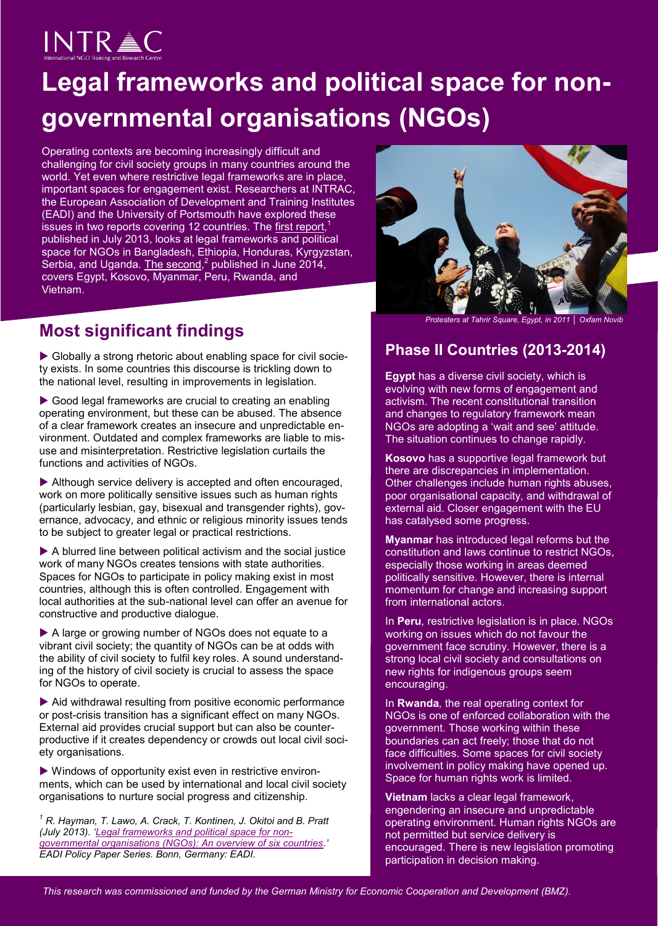# **INTRAC**

## **Legal frameworks and political space for nongovernmental organisations (NGOs)**

Operating contexts are becoming increasingly difficult and challenging for civil society groups in many countries around the world. Yet even where restrictive legal frameworks are in place, important spaces for engagement exist. Researchers at INTRAC, the European Association of Development and Training Institutes (EADI) and the University of Portsmouth have explored these issues in two reports covering 12 countries. The [first report,](http://www.intrac.org/data/files/resources/771/Legal-Frameworks-and-Political-Space-for-Non-Governmental-Organisations-An-Overview-of-Six-Countries-July-2013.pdf)<sup>1</sup> published in July 2013, looks at legal frameworks and political space for NGOs in Bangladesh, Ethiopia, Honduras, Kyrgyzstan, Serbia, and Uganda. [The second,](http://www.intrac.org/resources.php?action=resource&id=801)<sup>2</sup> published in June 2014, covers Egypt, Kosovo, Myanmar, Peru, Rwanda, and Vietnam.

## **Most significant findings**

 Globally a strong rhetoric about enabling space for civil society exists. In some countries this discourse is trickling down to the national level, resulting in improvements in legislation.

Good legal frameworks are crucial to creating an enabling operating environment, but these can be abused. The absence of a clear framework creates an insecure and unpredictable environment. Outdated and complex frameworks are liable to misuse and misinterpretation. Restrictive legislation curtails the functions and activities of NGOs.

Although service delivery is accepted and often encouraged, work on more politically sensitive issues such as human rights (particularly lesbian, gay, bisexual and transgender rights), governance, advocacy, and ethnic or religious minority issues tends to be subject to greater legal or practical restrictions.

 A blurred line between political activism and the social justice work of many NGOs creates tensions with state authorities. Spaces for NGOs to participate in policy making exist in most countries, although this is often controlled. Engagement with local authorities at the sub-national level can offer an avenue for constructive and productive dialogue.

A large or growing number of NGOs does not equate to a vibrant civil society; the quantity of NGOs can be at odds with the ability of civil society to fulfil key roles. A sound understanding of the history of civil society is crucial to assess the space for NGOs to operate.

 Aid withdrawal resulting from positive economic performance or post-crisis transition has a significant effect on many NGOs. External aid provides crucial support but can also be counterproductive if it creates dependency or crowds out local civil society organisations.

 Windows of opportunity exist even in restrictive environments, which can be used by international and local civil society organisations to nurture social progress and citizenship.

*<sup>1</sup> R. Hayman, T. Lawo, A. Crack, T. Kontinen, J. Okitoi and B. Pratt (July 2013). '[Legal frameworks and political space for non](http://www.intrac.org/resources.php?action=resource&id=771)[governmental organisations \(NGOs\): An overview of six countries.](http://www.intrac.org/resources.php?action=resource&id=771)' EADI Policy Paper Series. Bonn, Germany: EADI.* 



*Protesters at Tahrir Square, Egypt, in 2011 │ Oxfam Novib* 

### **Phase II Countries (2013-2014)**

**Egypt** has a diverse civil society, which is evolving with new forms of engagement and activism. The recent constitutional transition and changes to regulatory framework mean NGOs are adopting a 'wait and see' attitude. The situation continues to change rapidly.

**Kosovo** has a supportive legal framework but there are discrepancies in implementation. Other challenges include human rights abuses, poor organisational capacity, and withdrawal of external aid. Closer engagement with the EU has catalysed some progress.

**Myanmar** has introduced legal reforms but the constitution and laws continue to restrict NGOs, especially those working in areas deemed politically sensitive. However, there is internal momentum for change and increasing support from international actors.

In **Peru***,* restrictive legislation is in place. NGOs working on issues which do not favour the government face scrutiny. However, there is a strong local civil society and consultations on new rights for indigenous groups seem encouraging.

In **Rwanda***,* the real operating context for NGOs is one of enforced collaboration with the government. Those working within these boundaries can act freely; those that do not face difficulties. Some spaces for civil society involvement in policy making have opened up. Space for human rights work is limited.

**Vietnam** lacks a clear legal framework, engendering an insecure and unpredictable operating environment. Human rights NGOs are not permitted but service delivery is encouraged. There is new legislation promoting participation in decision making.